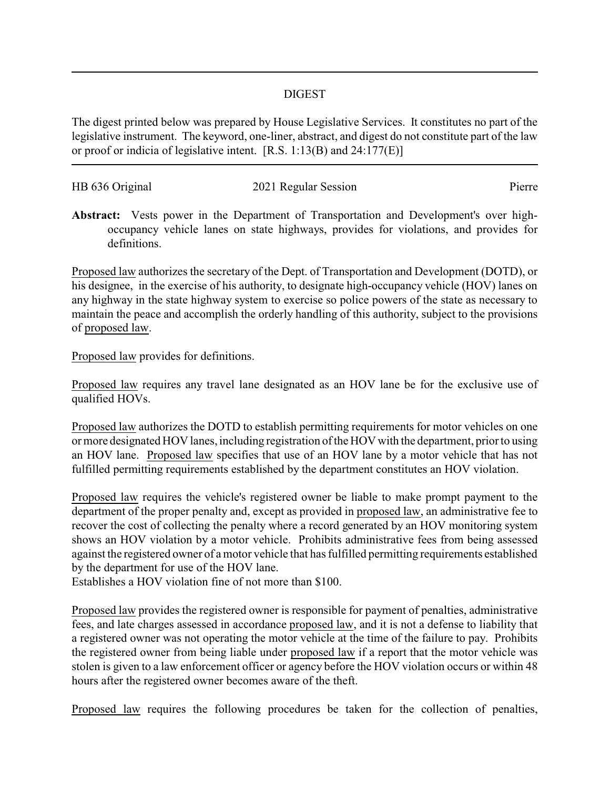## DIGEST

The digest printed below was prepared by House Legislative Services. It constitutes no part of the legislative instrument. The keyword, one-liner, abstract, and digest do not constitute part of the law or proof or indicia of legislative intent. [R.S. 1:13(B) and 24:177(E)]

| HB 636 Original | 2021 Regular Session | Pierre |
|-----------------|----------------------|--------|

**Abstract:** Vests power in the Department of Transportation and Development's over highoccupancy vehicle lanes on state highways, provides for violations, and provides for definitions.

Proposed law authorizes the secretary of the Dept. of Transportation and Development (DOTD), or his designee, in the exercise of his authority, to designate high-occupancy vehicle (HOV) lanes on any highway in the state highway system to exercise so police powers of the state as necessary to maintain the peace and accomplish the orderly handling of this authority, subject to the provisions of proposed law.

Proposed law provides for definitions.

Proposed law requires any travel lane designated as an HOV lane be for the exclusive use of qualified HOVs.

Proposed law authorizes the DOTD to establish permitting requirements for motor vehicles on one or more designated HOV lanes, including registration of the HOV with the department, prior to using an HOV lane. Proposed law specifies that use of an HOV lane by a motor vehicle that has not fulfilled permitting requirements established by the department constitutes an HOV violation.

Proposed law requires the vehicle's registered owner be liable to make prompt payment to the department of the proper penalty and, except as provided in proposed law, an administrative fee to recover the cost of collecting the penalty where a record generated by an HOV monitoring system shows an HOV violation by a motor vehicle. Prohibits administrative fees from being assessed against the registered owner of a motor vehicle that has fulfilled permitting requirements established by the department for use of the HOV lane.

Establishes a HOV violation fine of not more than \$100.

Proposed law provides the registered owner is responsible for payment of penalties, administrative fees, and late charges assessed in accordance proposed law, and it is not a defense to liability that a registered owner was not operating the motor vehicle at the time of the failure to pay. Prohibits the registered owner from being liable under proposed law if a report that the motor vehicle was stolen is given to a law enforcement officer or agency before the HOV violation occurs or within 48 hours after the registered owner becomes aware of the theft.

Proposed law requires the following procedures be taken for the collection of penalties,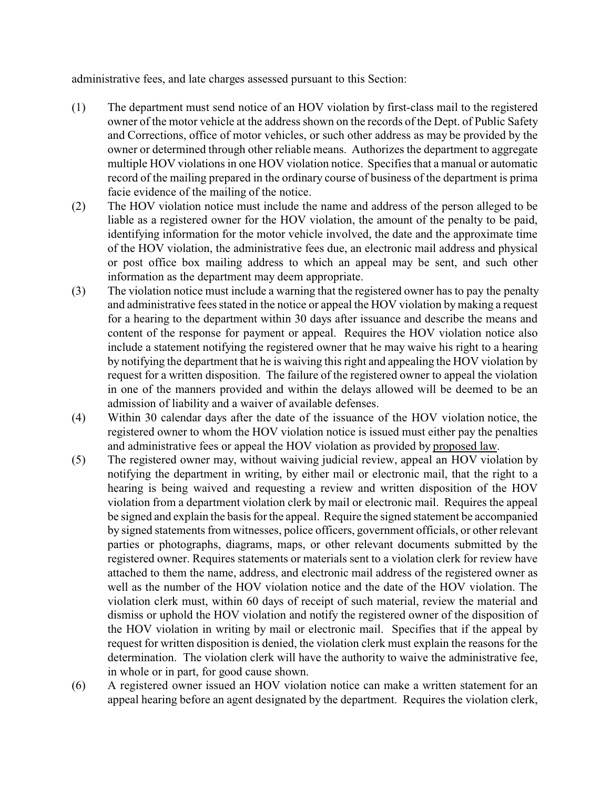administrative fees, and late charges assessed pursuant to this Section:

- (1) The department must send notice of an HOV violation by first-class mail to the registered owner of the motor vehicle at the address shown on the records of the Dept. of Public Safety and Corrections, office of motor vehicles, or such other address as may be provided by the owner or determined through other reliable means. Authorizes the department to aggregate multiple HOV violations in one HOV violation notice. Specifies that a manual or automatic record of the mailing prepared in the ordinary course of business of the department is prima facie evidence of the mailing of the notice.
- (2) The HOV violation notice must include the name and address of the person alleged to be liable as a registered owner for the HOV violation, the amount of the penalty to be paid, identifying information for the motor vehicle involved, the date and the approximate time of the HOV violation, the administrative fees due, an electronic mail address and physical or post office box mailing address to which an appeal may be sent, and such other information as the department may deem appropriate.
- (3) The violation notice must include a warning that the registered owner has to pay the penalty and administrative fees stated in the notice or appeal the HOV violation by making a request for a hearing to the department within 30 days after issuance and describe the means and content of the response for payment or appeal. Requires the HOV violation notice also include a statement notifying the registered owner that he may waive his right to a hearing by notifying the department that he is waiving this right and appealing the HOV violation by request for a written disposition. The failure of the registered owner to appeal the violation in one of the manners provided and within the delays allowed will be deemed to be an admission of liability and a waiver of available defenses.
- (4) Within 30 calendar days after the date of the issuance of the HOV violation notice, the registered owner to whom the HOV violation notice is issued must either pay the penalties and administrative fees or appeal the HOV violation as provided by proposed law.
- (5) The registered owner may, without waiving judicial review, appeal an HOV violation by notifying the department in writing, by either mail or electronic mail, that the right to a hearing is being waived and requesting a review and written disposition of the HOV violation from a department violation clerk by mail or electronic mail. Requires the appeal be signed and explain the basis for the appeal. Require the signed statement be accompanied by signed statements from witnesses, police officers, government officials, or other relevant parties or photographs, diagrams, maps, or other relevant documents submitted by the registered owner. Requires statements or materials sent to a violation clerk for review have attached to them the name, address, and electronic mail address of the registered owner as well as the number of the HOV violation notice and the date of the HOV violation. The violation clerk must, within 60 days of receipt of such material, review the material and dismiss or uphold the HOV violation and notify the registered owner of the disposition of the HOV violation in writing by mail or electronic mail. Specifies that if the appeal by request for written disposition is denied, the violation clerk must explain the reasons for the determination. The violation clerk will have the authority to waive the administrative fee, in whole or in part, for good cause shown.
- (6) A registered owner issued an HOV violation notice can make a written statement for an appeal hearing before an agent designated by the department. Requires the violation clerk,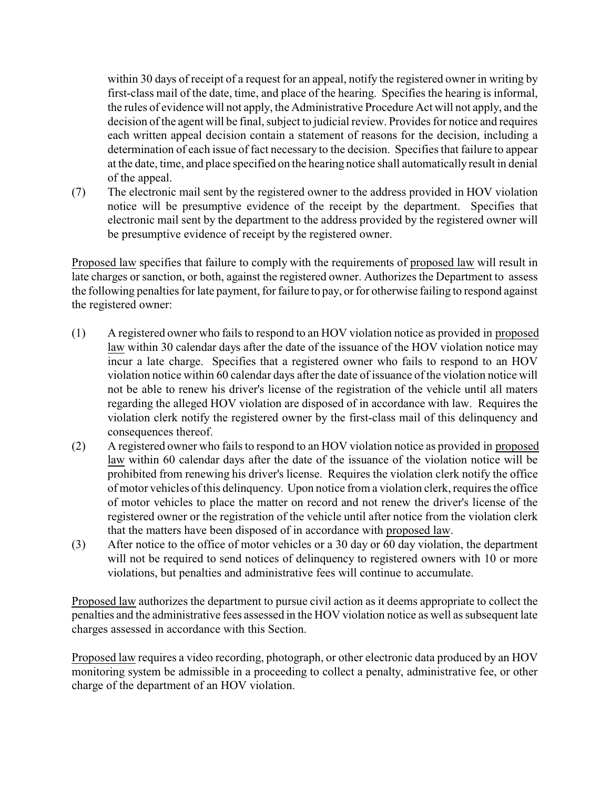within 30 days of receipt of a request for an appeal, notify the registered owner in writing by first-class mail of the date, time, and place of the hearing. Specifies the hearing is informal, the rules of evidence will not apply, the Administrative Procedure Act will not apply, and the decision of the agent will be final, subject to judicial review. Provides for notice and requires each written appeal decision contain a statement of reasons for the decision, including a determination of each issue of fact necessary to the decision. Specifies that failure to appear at the date, time, and place specified on the hearing notice shall automatically result in denial of the appeal.

(7) The electronic mail sent by the registered owner to the address provided in HOV violation notice will be presumptive evidence of the receipt by the department. Specifies that electronic mail sent by the department to the address provided by the registered owner will be presumptive evidence of receipt by the registered owner.

Proposed law specifies that failure to comply with the requirements of proposed law will result in late charges or sanction, or both, against the registered owner. Authorizes the Department to assess the following penalties for late payment, for failure to pay, or for otherwise failing to respond against the registered owner:

- (1) A registered owner who fails to respond to an HOV violation notice as provided in proposed law within 30 calendar days after the date of the issuance of the HOV violation notice may incur a late charge. Specifies that a registered owner who fails to respond to an HOV violation notice within 60 calendar days after the date of issuance of the violation notice will not be able to renew his driver's license of the registration of the vehicle until all maters regarding the alleged HOV violation are disposed of in accordance with law. Requires the violation clerk notify the registered owner by the first-class mail of this delinquency and consequences thereof.
- (2) A registered owner who fails to respond to an HOV violation notice as provided in proposed law within 60 calendar days after the date of the issuance of the violation notice will be prohibited from renewing his driver's license. Requires the violation clerk notify the office of motor vehicles of this delinquency. Upon notice from a violation clerk, requires the office of motor vehicles to place the matter on record and not renew the driver's license of the registered owner or the registration of the vehicle until after notice from the violation clerk that the matters have been disposed of in accordance with proposed law.
- (3) After notice to the office of motor vehicles or a 30 day or 60 day violation, the department will not be required to send notices of delinquency to registered owners with 10 or more violations, but penalties and administrative fees will continue to accumulate.

Proposed law authorizes the department to pursue civil action as it deems appropriate to collect the penalties and the administrative fees assessed in the HOV violation notice as well as subsequent late charges assessed in accordance with this Section.

Proposed law requires a video recording, photograph, or other electronic data produced by an HOV monitoring system be admissible in a proceeding to collect a penalty, administrative fee, or other charge of the department of an HOV violation.